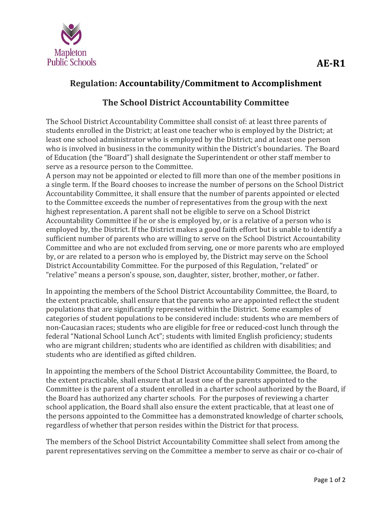

## **Regulation: Accountability/Commitment to Accomplishment**

## **The School District Accountability Committee**

The School District Accountability Committee shall consist of: at least three parents of students enrolled in the District; at least one teacher who is employed by the District; at least one school administrator who is employed by the District; and at least one person who is involved in business in the community within the District's boundaries. The Board of Education (the "Board") shall designate the Superintendent or other staff member to serve as a resource person to the Committee.

A person may not be appointed or elected to fill more than one of the member positions in a single term. If the Board chooses to increase the number of persons on the School District Accountability Committee, it shall ensure that the number of parents appointed or elected to the Committee exceeds the number of representatives from the group with the next highest representation. A parent shall not be eligible to serve on a School District Accountability Committee if he or she is employed by, or is a relative of a person who is employed by, the District. If the District makes a good faith effort but is unable to identify a sufficient number of parents who are willing to serve on the School District Accountability Committee and who are not excluded from serving, one or more parents who are employed by, or are related to a person who is employed by, the District may serve on the School District Accountability Committee. For the purposed of this Regulation, "related" or "relative" means a person's spouse, son, daughter, sister, brother, mother, or father.

In appointing the members of the School District Accountability Committee, the Board, to the extent practicable, shall ensure that the parents who are appointed reflect the student populations that are significantly represented within the District. Some examples of categories of student populations to be considered include: students who are members of non-Caucasian races; students who are eligible for free or reduced-cost lunch through the federal "National School Lunch Act"; students with limited English proficiency; students who are migrant children; students who are identified as children with disabilities; and students who are identified as gifted children.

In appointing the members of the School District Accountability Committee, the Board, to the extent practicable, shall ensure that at least one of the parents appointed to the Committee is the parent of a student enrolled in a charter school authorized by the Board, if the Board has authorized any charter schools. For the purposes of reviewing a charter school application, the Board shall also ensure the extent practicable, that at least one of the persons appointed to the Committee has a demonstrated knowledge of charter schools, regardless of whether that person resides within the District for that process.

The members of the School District Accountability Committee shall select from among the parent representatives serving on the Committee a member to serve as chair or co-chair of